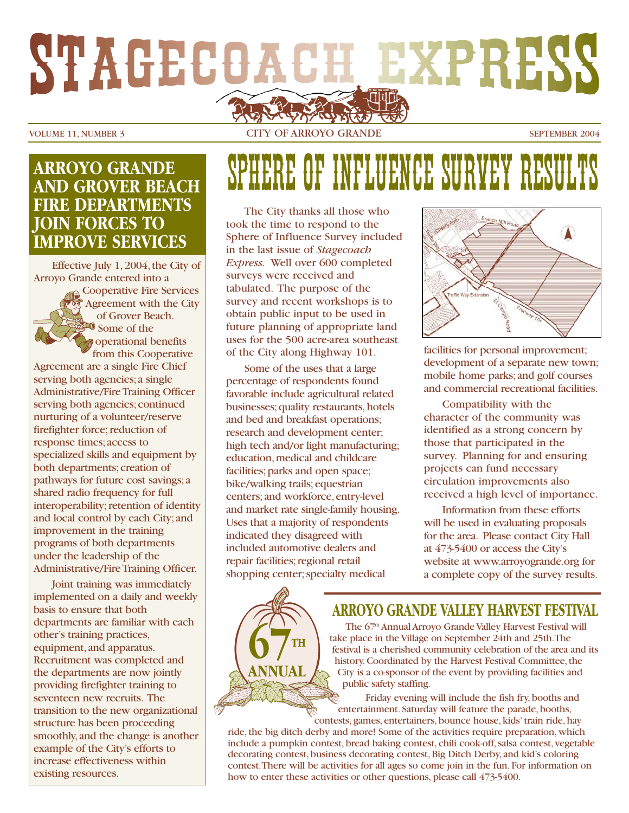# STAGECOACH EXPRESS

VOLUME 11, NUMBER 3 CITY OF ARROYO GRANDE SEPTEMBER 2004

#### **ARROYO GRANDE AND GROVER BEACH FIRE DEPARTMENTS JOIN FORCES TO IMPROVE SERVICES**

Effective July 1,2004,the City of Arroyo Grande entered into a Cooperative Fire Services Agreement with the City of Grover Beach.  $\blacksquare$  Some of the operational benefits from this Cooperative

Agreement are a single Fire Chief serving both agencies;a single Administrative/Fire Training Officer serving both agencies; continued nurturing of a volunteer/reserve firefighter force; reduction of response times;access to specialized skills and equipment by both departments; creation of pathways for future cost savings;a shared radio frequency for full interoperability; retention of identity and local control by each City;and improvement in the training programs of both departments under the leadership of the Administrative/Fire Training Officer.

Joint training was immediately implemented on a daily and weekly basis to ensure that both departments are familiar with each other's training practices, equipment,and apparatus. Recruitment was completed and the departments are now jointly providing firefighter training to seventeen new recruits. The transition to the new organizational structure has been proceeding smoothly, and the change is another example of the City's efforts to increase effectiveness within existing resources.

# ERE OF INFLUENCE SURVEY BE

The City thanks all those who took the time to respond to the Sphere of Influence Survey included in the last issue of *Stagecoach Express.* Well over 600 completed surveys were received and tabulated. The purpose of the survey and recent workshops is to obtain public input to be used in future planning of appropriate land uses for the 500 acre-area southeast of the City along Highway 101.

Some of the uses that a large percentage of respondents found favorable include agricultural related businesses; quality restaurants, hotels and bed and breakfast operations; research and development center; high tech and/or light manufacturing; education, medical and childcare facilities; parks and open space; bike/walking trails;equestrian centers;and workforce,entry-level and market rate single-family housing. Uses that a majority of respondents indicated they disagreed with included automotive dealers and repair facilities; regional retail shopping center; specialty medical

**67TH** 

**ANNUAL**



facilities for personal improvement; development of a separate new town; mobile home parks;and golf courses and commercial recreational facilities.

Compatibility with the character of the community was identified as a strong concern by those that participated in the survey. Planning for and ensuring projects can fund necessary circulation improvements also received a high level of importance.

Information from these efforts will be used in evaluating proposals for the area. Please contact City Hall at 473-5400 or access the City's website at www.arroyogrande.org for a complete copy of the survey results.

#### **ARROYO GRANDE VALLEY HARVEST FESTIVAL**

The 67<sup>th</sup> Annual Arroyo Grande Valley Harvest Festival will take place in the Village on September 24th and 25th.The festival is a cherished community celebration of the area and its history. Coordinated by the Harvest Festival Committee, the City is a co-sponsor of the event by providing facilities and public safety staffing.

Friday evening will include the fish fry, booths and entertainment. Saturday will feature the parade, booths, contests, games, entertainers, bounce house, kids' train ride, hay

ride, the big ditch derby and more! Some of the activities require preparation, which include a pumpkin contest, bread baking contest, chili cook-off, salsa contest, vegetable decorating contest, business decorating contest, Big Ditch Derby, and kid's coloring contest.There will be activities for all ages so come join in the fun. For information on how to enter these activities or other questions, please call 473-5400.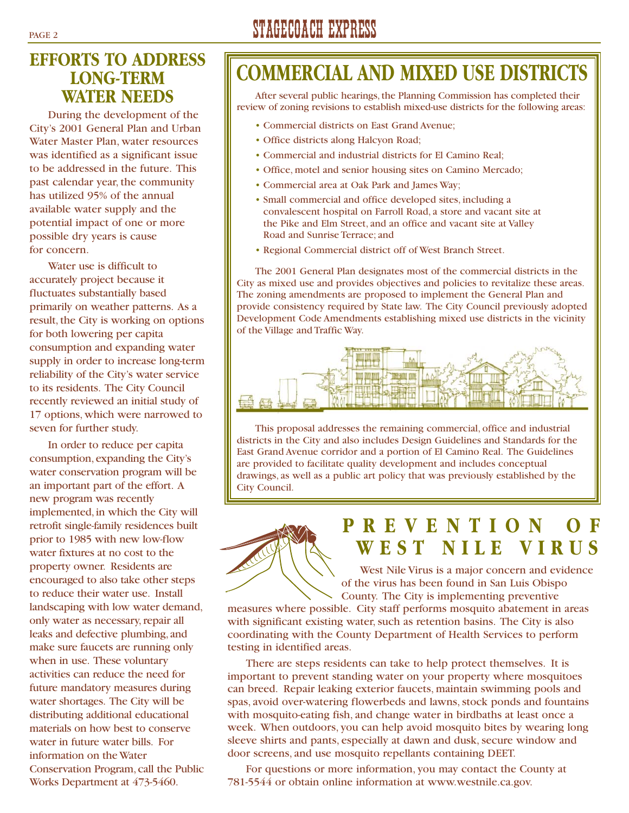#### **EFFORTS TO ADDRESS LONG-TERM WATER NEEDS**

During the development of the City's 2001 General Plan and Urban Water Master Plan, water resources was identified as a significant issue to be addressed in the future. This past calendar year, the community has utilized 95% of the annual available water supply and the potential impact of one or more possible dry years is cause for concern.

Water use is difficult to accurately project because it fluctuates substantially based primarily on weather patterns. As a result, the City is working on options for both lowering per capita consumption and expanding water supply in order to increase long-term reliability of the City's water service to its residents. The City Council recently reviewed an initial study of 17 options, which were narrowed to seven for further study.

In order to reduce per capita consumption, expanding the City's water conservation program will be an important part of the effort. A new program was recently implemented, in which the City will retrofit single-family residences built prior to 1985 with new low-flow water fixtures at no cost to the property owner. Residents are encouraged to also take other steps to reduce their water use. Install landscaping with low water demand, only water as necessary, repair all leaks and defective plumbing, and make sure faucets are running only when in use. These voluntary activities can reduce the need for future mandatory measures during water shortages. The City will be distributing additional educational materials on how best to conserve water in future water bills. For information on the Water Conservation Program, call the Public Works Department at 473-5460.

# PAGE 2 STAGECOACH EXPRESS

# **COMMERCIAL AND MIXED USE DISTRICTS**

After several public hearings, the Planning Commission has completed their review of zoning revisions to establish mixed-use districts for the following areas:

- Commercial districts on East Grand Avenue;
- Office districts along Halcyon Road;
- Commercial and industrial districts for El Camino Real;
- Office, motel and senior housing sites on Camino Mercado;
- Commercial area at Oak Park and James Way;
- Small commercial and office developed sites, including a convalescent hospital on Farroll Road, a store and vacant site at the Pike and Elm Street, and an office and vacant site at Valley Road and Sunrise Terrace; and
- Regional Commercial district off of West Branch Street.

The 2001 General Plan designates most of the commercial districts in the City as mixed use and provides objectives and policies to revitalize these areas. The zoning amendments are proposed to implement the General Plan and provide consistency required by State law. The City Council previously adopted Development Code Amendments establishing mixed use districts in the vicinity of the Village and Traffic Way.



This proposal addresses the remaining commercial, office and industrial districts in the City and also includes Design Guidelines and Standards for the East Grand Avenue corridor and a portion of El Camino Real. The Guidelines are provided to facilitate quality development and includes conceptual drawings, as well as a public art policy that was previously established by the City Council.



# **PREVENTION OF WEST NILE VIRUS**

West Nile Virus is a major concern and evidence of the virus has been found in San Luis Obispo County. The City is implementing preventive

measures where possible. City staff performs mosquito abatement in areas with significant existing water, such as retention basins. The City is also coordinating with the County Department of Health Services to perform testing in identified areas.

There are steps residents can take to help protect themselves. It is important to prevent standing water on your property where mosquitoes can breed. Repair leaking exterior faucets, maintain swimming pools and spas, avoid over-watering flowerbeds and lawns, stock ponds and fountains with mosquito-eating fish, and change water in birdbaths at least once a week. When outdoors, you can help avoid mosquito bites by wearing long sleeve shirts and pants, especially at dawn and dusk, secure window and door screens, and use mosquito repellants containing DEET.

For questions or more information, you may contact the County at 781-5544 or obtain online information at www.westnile.ca.gov.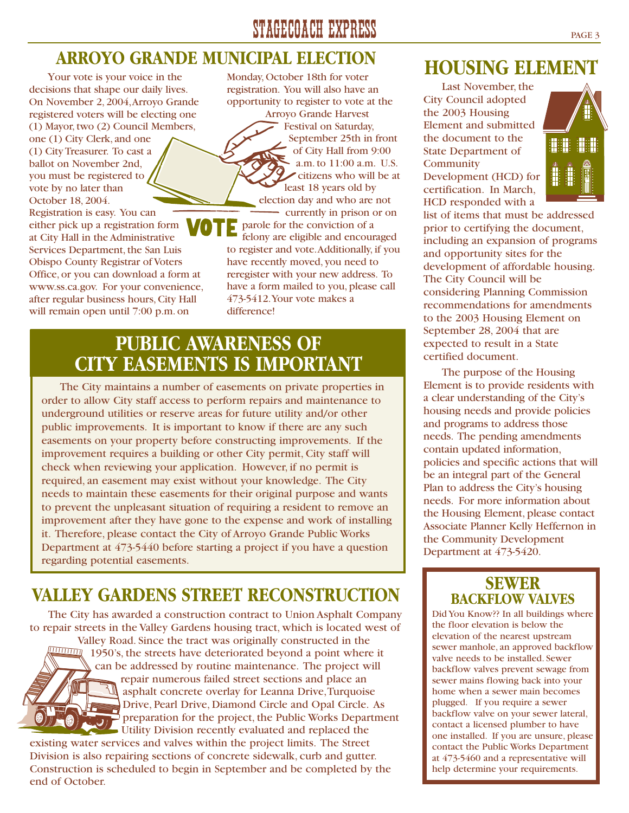# STAGECOACH EXPRESS PAGE 3

#### **ARROYO GRANDE MUNICIPAL ELECTION**

Your vote is your voice in the decisions that shape our daily lives. On November 2, 2004,Arroyo Grande registered voters will be electing one (1) Mayor, two (2) Council Members, one (1) City Clerk, and one (1) City Treasurer. To cast a ballot on November 2nd, you must be registered to vote by no later than October 18, 2004. Registration is easy. You can either pick up a registration form VO at City Hall in the Administrative Services Department, the San Luis Obispo County Registrar of Voters Office, or you can download a form at www.ss.ca.gov. For your convenience, after regular business hours, City Hall will remain open until 7:00 p.m. on

Monday, October 18th for voter registration. You will also have an opportunity to register to vote at the

Arroyo Grande Harvest Festival on Saturday, September 25th in front of City Hall from 9:00 a.m. to 11:00 a.m. U.S. citizens who will be at least 18 years old by

election day and who are not currently in prison or on Б parole for the conviction of a

felony are eligible and encouraged to register and vote.Additionally, if you have recently moved, you need to reregister with your new address. To have a form mailed to you, please call 473-5412.Your vote makes a difference!

### **PUBLIC AWARENESS OF CITY EASEMENTS IS IMPORTANT**

The City maintains a number of easements on private properties in order to allow City staff access to perform repairs and maintenance to underground utilities or reserve areas for future utility and/or other public improvements. It is important to know if there are any such easements on your property before constructing improvements. If the improvement requires a building or other City permit, City staff will check when reviewing your application. However, if no permit is required, an easement may exist without your knowledge. The City needs to maintain these easements for their original purpose and wants to prevent the unpleasant situation of requiring a resident to remove an improvement after they have gone to the expense and work of installing it. Therefore, please contact the City of Arroyo Grande Public Works Department at 473-5440 before starting a project if you have a question regarding potential easements.

# **VALLEY GARDENS STREET RECONSTRUCTION**

The City has awarded a construction contract to Union Asphalt Company to repair streets in the Valley Gardens housing tract, which is located west of



Valley Road. Since the tract was originally constructed in the Valley Road. Since the tract was originally constructed in the  $1050$ 's the streets have deteriorated beyond a point where 1950's, the streets have deteriorated beyond a point where it can be addressed by routine maintenance. The project will repair numerous failed street sections and place an sphalt concrete overlay for Leanna Drive, Turquoise Drive, Pearl Drive, Diamond Circle and Opal Circle. As preparation for the project, the Public Works Department Utility Division recently evaluated and replaced the

existing water services and valves within the project limits. The Street Division is also repairing sections of concrete sidewalk, curb and gutter. Construction is scheduled to begin in September and be completed by the end of October.

### **HOUSING ELEMENT**

Last November, the City Council adopted the 2003 Housing Element and submitted the document to the State Department of **Community** Development (HCD) for certification. In March, HCD responded with a



list of items that must be addressed prior to certifying the document, including an expansion of programs and opportunity sites for the development of affordable housing. The City Council will be considering Planning Commission recommendations for amendments to the 2003 Housing Element on September 28, 2004 that are expected to result in a State certified document.

The purpose of the Housing Element is to provide residents with a clear understanding of the City's housing needs and provide policies and programs to address those needs. The pending amendments contain updated information, policies and specific actions that will be an integral part of the General Plan to address the City's housing needs. For more information about the Housing Element, please contact Associate Planner Kelly Heffernon in the Community Development Department at 473-5420.

#### **SEWER BACKFLOW VALVES**

Did You Know?? In all buildings where the floor elevation is below the elevation of the nearest upstream sewer manhole, an approved backflow valve needs to be installed. Sewer backflow valves prevent sewage from sewer mains flowing back into your home when a sewer main becomes plugged. If you require a sewer backflow valve on your sewer lateral, contact a licensed plumber to have one installed. If you are unsure, please contact the Public Works Department at 473-5460 and a representative will help determine your requirements.